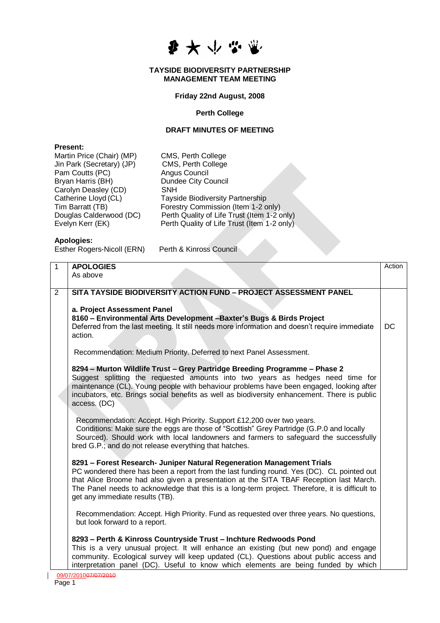李大小兴业

#### **TAYSIDE BIODIVERSITY PARTNERSHIP MANAGEMENT TEAM MEETING**

## **Friday 22nd August, 2008**

## **Perth College**

## **DRAFT MINUTES OF MEETING**

#### **Present:**

| Martin Price (Chair) (MP) | CMS, Perth College                          |
|---------------------------|---------------------------------------------|
| Jin Park (Secretary) (JP) | CMS, Perth College                          |
| Pam Coutts (PC)           | Angus Council                               |
| Bryan Harris (BH)         | <b>Dundee City Council</b>                  |
| Carolyn Deasley (CD)      | SNH                                         |
| Catherine Lloyd (CL)      | <b>Tayside Biodiversity Partnership</b>     |
| Tim Barratt (TB)          | Forestry Commission (Item 1-2 only)         |
| Douglas Calderwood (DC)   | Perth Quality of Life Trust (Item 1-2 only) |
| Evelyn Kerr (EK)          | Perth Quality of Life Trust (Item 1-2 only) |
|                           |                                             |

# **Apologies:**

Esther Rogers-Nicoll (ERN) Perth & Kinross Council

| 1              | <b>APOLOGIES</b>                                                                                                                                                       | Action |
|----------------|------------------------------------------------------------------------------------------------------------------------------------------------------------------------|--------|
|                | As above                                                                                                                                                               |        |
|                |                                                                                                                                                                        |        |
| $\overline{2}$ | SITA TAYSIDE BIODIVERSITY ACTION FUND - PROJECT ASSESSMENT PANEL                                                                                                       |        |
|                |                                                                                                                                                                        |        |
|                | a. Project Assessment Panel                                                                                                                                            |        |
|                | 8160 - Environmental Arts Development - Baxter's Bugs & Birds Project<br>Deferred from the last meeting. It still needs more information and doesn't require immediate | DC     |
|                | action.                                                                                                                                                                |        |
|                |                                                                                                                                                                        |        |
|                | Recommendation: Medium Priority. Deferred to next Panel Assessment.                                                                                                    |        |
|                |                                                                                                                                                                        |        |
|                | 8294 - Murton Wildlife Trust - Grey Partridge Breeding Programme - Phase 2                                                                                             |        |
|                | Suggest splitting the requested amounts into two years as hedges need time for                                                                                         |        |
|                | maintenance (CL). Young people with behaviour problems have been engaged, looking after                                                                                |        |
|                | incubators, etc. Brings social benefits as well as biodiversity enhancement. There is public                                                                           |        |
|                | access. (DC)                                                                                                                                                           |        |
|                | Recommendation: Accept. High Priority. Support £12,200 over two years.                                                                                                 |        |
|                | Conditions: Make sure the eggs are those of "Scottish" Grey Partridge (G.P.0 and locally                                                                               |        |
|                | Sourced). Should work with local landowners and farmers to safeguard the successfully                                                                                  |        |
|                | bred G.P.; and do not release everything that hatches.                                                                                                                 |        |
|                |                                                                                                                                                                        |        |
|                | 8291 - Forest Research- Juniper Natural Regeneration Management Trials                                                                                                 |        |
|                | PC wondered there has been a report from the last funding round. Yes (DC). CL pointed out                                                                              |        |
|                | that Alice Broome had also given a presentation at the SITA TBAF Reception last March.                                                                                 |        |
|                | The Panel needs to acknowledge that this is a long-term project. Therefore, it is difficult to<br>get any immediate results (TB).                                      |        |
|                |                                                                                                                                                                        |        |
|                | Recommendation: Accept. High Priority. Fund as requested over three years. No questions,                                                                               |        |
|                | but look forward to a report.                                                                                                                                          |        |
|                |                                                                                                                                                                        |        |
|                | 8293 - Perth & Kinross Countryside Trust - Inchture Redwoods Pond                                                                                                      |        |
|                | This is a very unusual project. It will enhance an existing (but new pond) and engage                                                                                  |        |
|                | community. Ecological survey will keep updated (CL). Questions about public access and                                                                                 |        |
|                | interpretation panel (DC). Useful to know which elements are being funded by which                                                                                     |        |
|                | 09/07/2010 <del>07/07/2010</del>                                                                                                                                       |        |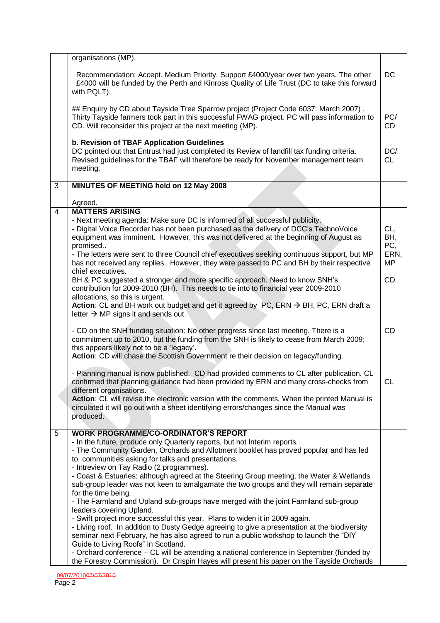|                | organisations (MP).                                                                                                                                                                                                                                                                                                                                                                                                                                                                                                                                                                                                                                                                                                                                                                                                                                                                                                                                                                                                                                                                                                                                            |                                        |
|----------------|----------------------------------------------------------------------------------------------------------------------------------------------------------------------------------------------------------------------------------------------------------------------------------------------------------------------------------------------------------------------------------------------------------------------------------------------------------------------------------------------------------------------------------------------------------------------------------------------------------------------------------------------------------------------------------------------------------------------------------------------------------------------------------------------------------------------------------------------------------------------------------------------------------------------------------------------------------------------------------------------------------------------------------------------------------------------------------------------------------------------------------------------------------------|----------------------------------------|
|                | Recommendation: Accept. Medium Priority. Support £4000/year over two years. The other<br>£4000 will be funded by the Perth and Kinross Quality of Life Trust (DC to take this forward<br>with PQLT).                                                                                                                                                                                                                                                                                                                                                                                                                                                                                                                                                                                                                                                                                                                                                                                                                                                                                                                                                           | DC                                     |
|                | ## Enquiry by CD about Tayside Tree Sparrow project (Project Code 6037: March 2007).<br>Thirty Tayside farmers took part in this successful FWAG project. PC will pass information to<br>CD. Will reconsider this project at the next meeting (MP).                                                                                                                                                                                                                                                                                                                                                                                                                                                                                                                                                                                                                                                                                                                                                                                                                                                                                                            | PC/<br>CD                              |
|                | b. Revision of TBAF Application Guidelines<br>DC pointed out that Entrust had just completed its Review of landfill tax funding criteria.<br>Revised guidelines for the TBAF will therefore be ready for November management team<br>meeting.                                                                                                                                                                                                                                                                                                                                                                                                                                                                                                                                                                                                                                                                                                                                                                                                                                                                                                                  | DC/<br><b>CL</b>                       |
| $\overline{3}$ | MINUTES OF MEETING held on 12 May 2008                                                                                                                                                                                                                                                                                                                                                                                                                                                                                                                                                                                                                                                                                                                                                                                                                                                                                                                                                                                                                                                                                                                         |                                        |
|                | Agreed.                                                                                                                                                                                                                                                                                                                                                                                                                                                                                                                                                                                                                                                                                                                                                                                                                                                                                                                                                                                                                                                                                                                                                        |                                        |
| $\overline{4}$ | <b>MATTERS ARISING</b><br>- Next meeting agenda: Make sure DC is informed of all successful publicity.<br>- Digital Voice Recorder has not been purchased as the delivery of DCC's TechnoVoice<br>equipment was imminent. However, this was not delivered at the beginning of August as<br>promised<br>- The letters were sent to three Council chief executives seeking continuous support, but MP<br>has not received any replies. However, they were passed to PC and BH by their respective                                                                                                                                                                                                                                                                                                                                                                                                                                                                                                                                                                                                                                                                | CL,<br>BH,<br>PC,<br>ERN,<br><b>MP</b> |
|                | chief executives.<br>BH & PC suggested a stronger and more specific approach. Need to know SNH's<br>contribution for 2009-2010 (BH). This needs to tie into to financial year 2009-2010<br>allocations, so this is urgent.<br>Action: CL and BH work out budget and get it agreed by PC, ERN $\rightarrow$ BH, PC, ERN draft a<br>letter $\rightarrow$ MP signs it and sends out.                                                                                                                                                                                                                                                                                                                                                                                                                                                                                                                                                                                                                                                                                                                                                                              | <b>CD</b>                              |
|                | - CD on the SNH funding situation: No other progress since last meeting. There is a<br>commitment up to 2010, but the funding from the SNH is likely to cease from March 2009;<br>this appears likely not to be a 'legacy'.<br>Action: CD will chase the Scottish Government re their decision on legacy/funding.                                                                                                                                                                                                                                                                                                                                                                                                                                                                                                                                                                                                                                                                                                                                                                                                                                              | <b>CD</b>                              |
|                | - Planning manual is now published. CD had provided comments to CL after publication. CL<br>confirmed that planning guidance had been provided by ERN and many cross-checks from<br>different organisations.<br>Action: CL will revise the electronic version with the comments. When the printed Manual is<br>circulated it will go out with a sheet identifying errors/changes since the Manual was<br>produced.                                                                                                                                                                                                                                                                                                                                                                                                                                                                                                                                                                                                                                                                                                                                             | CL                                     |
| 5              | <b>WORK PROGRAMME/CO-ORDINATOR'S REPORT</b><br>- In the future, produce only Quarterly reports, but not Interim reports.<br>- The Community Garden, Orchards and Allotment booklet has proved popular and has led<br>to communities asking for talks and presentations.<br>- Intreview on Tay Radio (2 programmes).<br>- Coast & Estuaries: although agreed at the Steering Group meeting, the Water & Wetlands<br>sub-group leader was not keen to amalgamate the two groups and they will remain separate<br>for the time being.<br>- The Farmland and Upland sub-groups have merged with the joint Farmland sub-group<br>leaders covering Upland.<br>- Swift project more successful this year. Plans to widen it in 2009 again.<br>- Living roof. In addition to Dusty Gedge agreeing to give a presentation at the biodiversity<br>seminar next February, he has also agreed to run a public workshop to launch the "DIY<br>Guide to Living Roofs" in Scotland.<br>- Orchard conference - CL will be attending a national conference in September (funded by<br>the Forestry Commission). Dr Crispin Hayes will present his paper on the Tayside Orchards |                                        |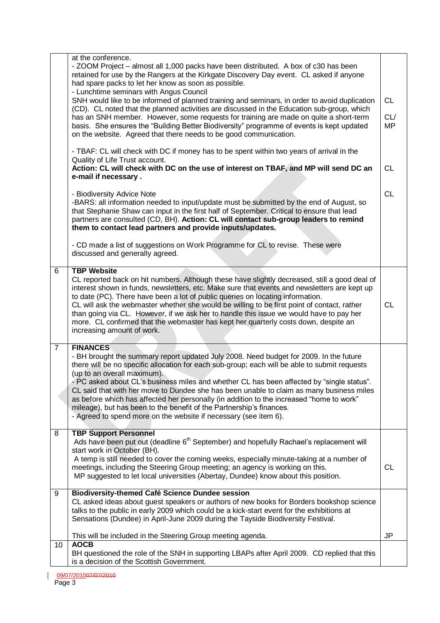|                | at the conference.<br>- ZOOM Project – almost all 1,000 packs have been distributed. A box of c30 has been<br>retained for use by the Rangers at the Kirkgate Discovery Day event. CL asked if anyone<br>had spare packs to let her know as soon as possible.<br>- Lunchtime seminars with Angus Council<br>SNH would like to be informed of planned training and seminars, in order to avoid duplication<br>(CD). CL noted that the planned activities are discussed in the Education sub-group, which<br>has an SNH member. However, some requests for training are made on quite a short-term<br>basis. She ensures the "Building Better Biodiversity" programme of events is kept updated | <b>CL</b><br>CL/<br><b>MP</b> |
|----------------|-----------------------------------------------------------------------------------------------------------------------------------------------------------------------------------------------------------------------------------------------------------------------------------------------------------------------------------------------------------------------------------------------------------------------------------------------------------------------------------------------------------------------------------------------------------------------------------------------------------------------------------------------------------------------------------------------|-------------------------------|
|                | on the website. Agreed that there needs to be good communication.<br>- TBAF: CL will check with DC if money has to be spent within two years of arrival in the                                                                                                                                                                                                                                                                                                                                                                                                                                                                                                                                |                               |
|                | Quality of Life Trust account.<br>Action: CL will check with DC on the use of interest on TBAF, and MP will send DC an<br>e-mail if necessary.                                                                                                                                                                                                                                                                                                                                                                                                                                                                                                                                                | <b>CL</b>                     |
|                | - Biodiversity Advice Note<br>-BARS: all information needed to input/update must be submitted by the end of August, so<br>that Stephanie Shaw can input in the first half of September. Critical to ensure that lead<br>partners are consulted (CD, BH). Action: CL will contact sub-group leaders to remind<br>them to contact lead partners and provide inputs/updates.                                                                                                                                                                                                                                                                                                                     | <b>CL</b>                     |
|                | - CD made a list of suggestions on Work Programme for CL to revise. These were<br>discussed and generally agreed.                                                                                                                                                                                                                                                                                                                                                                                                                                                                                                                                                                             |                               |
| 6              | <b>TBP Website</b><br>CL reported back on hit numbers. Although these have slightly decreased, still a good deal of<br>interest shown in funds, newsletters, etc. Make sure that events and newsletters are kept up<br>to date (PC). There have been a lot of public queries on locating information.<br>CL will ask the webmaster whether she would be willing to be first point of contact, rather<br>than going via CL. However, if we ask her to handle this issue we would have to pay her<br>more. CL confirmed that the webmaster has kept her quarterly costs down, despite an<br>increasing amount of work.                                                                          | <b>CL</b>                     |
| $\overline{7}$ | <b>FINANCES</b><br>- BH brought the summary report updated July 2008. Need budget for 2009. In the future<br>there will be no specific allocation for each sub-group; each will be able to submit requests<br>(up to an overall maximum).<br>- PC asked about CL's business miles and whether CL has been affected by "single status".<br>CL said that with her move to Dundee she has been unable to claim as many business miles<br>as before which has affected her personally (in addition to the increased "home to work"<br>mileage), but has been to the benefit of the Partnership's finances.<br>- Agreed to spend more on the website if necessary (see item 6).                    |                               |
| 8              | <b>TBP Support Personnel</b><br>Ads have been put out (deadline 6 <sup>th</sup> September) and hopefully Rachael's replacement will<br>start work in October (BH).<br>A temp is still needed to cover the coming weeks, especially minute-taking at a number of<br>meetings, including the Steering Group meeting; an agency is working on this.<br>MP suggested to let local universities (Abertay, Dundee) know about this position.                                                                                                                                                                                                                                                        | <b>CL</b>                     |
| 9              | <b>Biodiversity-themed Café Science Dundee session</b><br>CL asked ideas about guest speakers or authors of new books for Borders bookshop science<br>talks to the public in early 2009 which could be a kick-start event for the exhibitions at<br>Sensations (Dundee) in April-June 2009 during the Tayside Biodiversity Festival.                                                                                                                                                                                                                                                                                                                                                          |                               |
|                | This will be included in the Steering Group meeting agenda.<br><b>AOCB</b>                                                                                                                                                                                                                                                                                                                                                                                                                                                                                                                                                                                                                    | JP                            |
| 10             | BH questioned the role of the SNH in supporting LBAPs after April 2009. CD replied that this<br>is a decision of the Scottish Government.                                                                                                                                                                                                                                                                                                                                                                                                                                                                                                                                                     |                               |